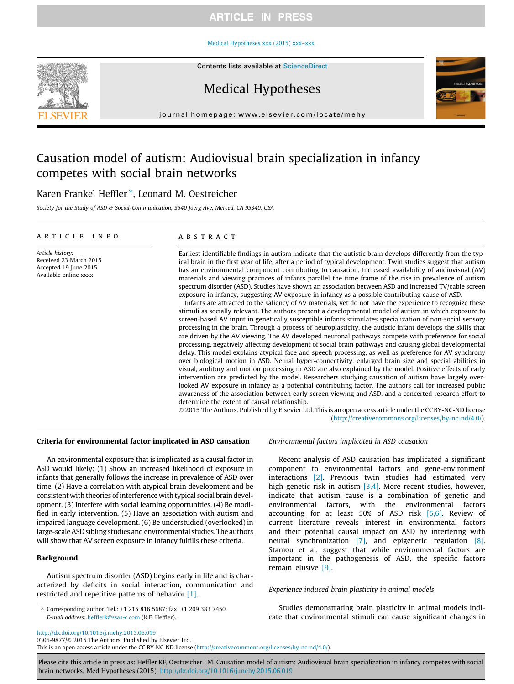# **ARTICLE IN PRESS**

#### [Medical Hypotheses xxx \(2015\) xxx–xxx](http://dx.doi.org/10.1016/j.mehy.2015.06.019)

Contents lists available at [ScienceDirect](http://www.sciencedirect.com/science/journal/03069877)



Medical Hypotheses



journal homepage: [www.elsevier.com/locate/mehy](http://www.elsevier.com/locate/mehy)

# Causation model of autism: Audiovisual brain specialization in infancy competes with social brain networks

# Karen Frankel Heffler<sup>\*</sup>, Leonard M. Oestreicher

Society for the Study of ASD & Social-Communication, 3540 Joerg Ave, Merced, CA 95340, USA

### article info

Article history: Received 23 March 2015 Accepted 19 June 2015 Available online xxxx

# ABSTRACT

Earliest identifiable findings in autism indicate that the autistic brain develops differently from the typical brain in the first year of life, after a period of typical development. Twin studies suggest that autism has an environmental component contributing to causation. Increased availability of audiovisual (AV) materials and viewing practices of infants parallel the time frame of the rise in prevalence of autism spectrum disorder (ASD). Studies have shown an association between ASD and increased TV/cable screen exposure in infancy, suggesting AV exposure in infancy as a possible contributing cause of ASD.

Infants are attracted to the saliency of AV materials, yet do not have the experience to recognize these stimuli as socially relevant. The authors present a developmental model of autism in which exposure to screen-based AV input in genetically susceptible infants stimulates specialization of non-social sensory processing in the brain. Through a process of neuroplasticity, the autistic infant develops the skills that are driven by the AV viewing. The AV developed neuronal pathways compete with preference for social processing, negatively affecting development of social brain pathways and causing global developmental delay. This model explains atypical face and speech processing, as well as preference for AV synchrony over biological motion in ASD. Neural hyper-connectivity, enlarged brain size and special abilities in visual, auditory and motion processing in ASD are also explained by the model. Positive effects of early intervention are predicted by the model. Researchers studying causation of autism have largely overlooked AV exposure in infancy as a potential contributing factor. The authors call for increased public awareness of the association between early screen viewing and ASD, and a concerted research effort to determine the extent of causal relationship.

- 2015 The Authors. Published by Elsevier Ltd. This is an open access article under the CC BY-NC-ND license (<http://creativecommons.org/licenses/by-nc-nd/4.0/>).

# Criteria for environmental factor implicated in ASD causation

An environmental exposure that is implicated as a causal factor in ASD would likely: (1) Show an increased likelihood of exposure in infants that generally follows the increase in prevalence of ASD over time. (2) Have a correlation with atypical brain development and be consistent with theories of interference with typical social brain development. (3) Interfere with social learning opportunities. (4) Be modified in early intervention. (5) Have an association with autism and impaired language development. (6) Be understudied (overlooked) in large-scale ASD sibling studies and environmental studies. The authors will show that AV screen exposure in infancy fulfills these criteria.

# Background

Autism spectrum disorder (ASD) begins early in life and is characterized by deficits in social interaction, communication and restricted and repetitive patterns of behavior [\[1\].](#page-5-0)

Environmental factors implicated in ASD causation

Recent analysis of ASD causation has implicated a significant component to environmental factors and gene-environment interactions [\[2\]](#page-5-0). Previous twin studies had estimated very high genetic risk in autism [\[3,4\].](#page-5-0) More recent studies, however, indicate that autism cause is a combination of genetic and environmental factors, with the environmental factors accounting for at least 50% of ASD risk [\[5,6\]](#page-6-0). Review of current literature reveals interest in environmental factors and their potential causal impact on ASD by interfering with neural synchronization [\[7\]](#page-6-0), and epigenetic regulation [\[8\].](#page-6-0) Stamou et al. suggest that while environmental factors are important in the pathogenesis of ASD, the specific factors remain elusive [\[9\].](#page-6-0)

#### Experience induced brain plasticity in animal models

Studies demonstrating brain plasticity in animal models indicate that environmental stimuli can cause significant changes in

<http://dx.doi.org/10.1016/j.mehy.2015.06.019> 0306-9877/© 2015 The Authors. Published by Elsevier Ltd.

This is an open access article under the CC BY-NC-ND license ([http://creativecommons.org/licenses/by-nc-nd/4.0/\)](http://creativecommons.org/licenses/by-nc-nd/4.0/).

<sup>⇑</sup> Corresponding author. Tel.: +1 215 816 5687; fax: +1 209 383 7450. E-mail address: [hefflerk@ssas-c.com](mailto:hefflerk@ssas-c.com) (K.F. Heffler).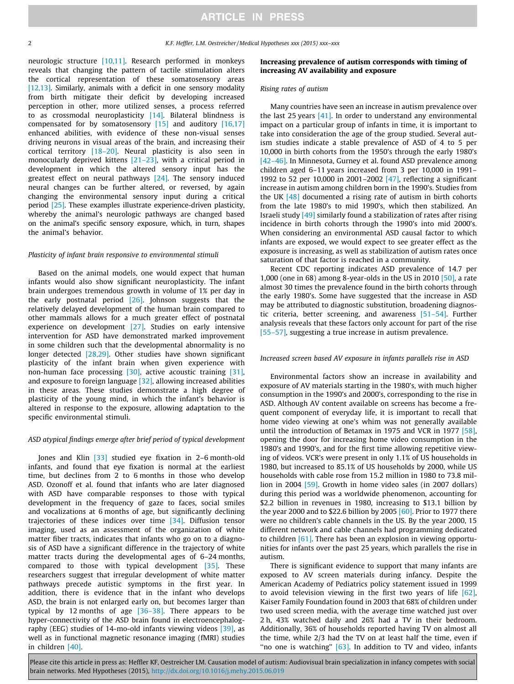neurologic structure [\[10,11\].](#page-6-0) Research performed in monkeys reveals that changing the pattern of tactile stimulation alters the cortical representation of these somatosensory areas [\[12,13\].](#page-6-0) Similarly, animals with a deficit in one sensory modality from birth mitigate their deficit by developing increased perception in other, more utilized senses, a process referred to as crossmodal neuroplasticity  $[14]$ . Bilateral blindness is compensated for by somatosensory  $[15]$  and auditory  $[16,17]$ enhanced abilities, with evidence of these non-visual senses driving neurons in visual areas of the brain, and increasing their cortical territory [\[18–20\].](#page-6-0) Neural plasticity is also seen in monocularly deprived kittens [\[21–23\],](#page-6-0) with a critical period in development in which the altered sensory input has the greatest effect on neural pathways [\[24\]](#page-6-0). The sensory induced neural changes can be further altered, or reversed, by again changing the environmental sensory input during a critical period [\[25\].](#page-6-0) These examples illustrate experience-driven plasticity, whereby the animal's neurologic pathways are changed based on the animal's specific sensory exposure, which, in turn, shapes the animal's behavior.

#### Plasticity of infant brain responsive to environmental stimuli

Based on the animal models, one would expect that human infants would also show significant neuroplasticity. The infant brain undergoes tremendous growth in volume of 1% per day in the early postnatal period  $[26]$ . Johnson suggests that the relatively delayed development of the human brain compared to other mammals allows for a much greater effect of postnatal experience on development [\[27\].](#page-6-0) Studies on early intensive intervention for ASD have demonstrated marked improvement in some children such that the developmental abnormality is no longer detected [\[28,29\]](#page-6-0). Other studies have shown significant plasticity of the infant brain when given experience with non-human face processing [\[30\]](#page-6-0), active acoustic training [\[31\],](#page-6-0) and exposure to foreign language [\[32\],](#page-6-0) allowing increased abilities in these areas. These studies demonstrate a high degree of plasticity of the young mind, in which the infant's behavior is altered in response to the exposure, allowing adaptation to the specific environmental stimuli.

# ASD atypical findings emerge after brief period of typical development

Jones and Klin [\[33\]](#page-6-0) studied eye fixation in 2–6 month-old infants, and found that eye fixation is normal at the earliest time, but declines from 2 to 6 months in those who develop ASD. Ozonoff et al. found that infants who are later diagnosed with ASD have comparable responses to those with typical development in the frequency of gaze to faces, social smiles and vocalizations at 6 months of age, but significantly declining trajectories of these indices over time [\[34\]](#page-6-0). Diffusion tensor imaging, used as an assessment of the organization of white matter fiber tracts, indicates that infants who go on to a diagnosis of ASD have a significant difference in the trajectory of white matter tracts during the developmental ages of 6–24 months, compared to those with typical development [\[35\]](#page-6-0). These researchers suggest that irregular development of white matter pathways precede autistic symptoms in the first year. In addition, there is evidence that in the infant who develops ASD, the brain is not enlarged early on, but becomes larger than typical by 12 months of age [\[36–38\]](#page-6-0). There appears to be hyper-connectivity of the ASD brain found in electroencephalography (EEG) studies of 14-mo-old infants viewing videos [\[39\],](#page-6-0) as well as in functional magnetic resonance imaging (fMRI) studies in children [\[40\].](#page-6-0)

# Increasing prevalence of autism corresponds with timing of increasing AV availability and exposure

#### Rising rates of autism

Many countries have seen an increase in autism prevalence over the last 25 years  $[41]$ . In order to understand any environmental impact on a particular group of infants in time, it is important to take into consideration the age of the group studied. Several autism studies indicate a stable prevalence of ASD of 4 to 5 per 10,000 in birth cohorts from the 1950's through the early 1980's [\[42–46\]](#page-6-0). In Minnesota, Gurney et al. found ASD prevalence among children aged 6–11 years increased from 3 per 10,000 in 1991– 1992 to 52 per 10,000 in 2001–2002 [\[47\],](#page-6-0) reflecting a significant increase in autism among children born in the 1990's. Studies from the UK  $[48]$  documented a rising rate of autism in birth cohorts from the late 1980's to mid 1990's, which then stabilized. An Israeli study [\[49\]](#page-6-0) similarly found a stabilization of rates after rising incidence in birth cohorts through the 1990's into mid 2000's. When considering an environmental ASD causal factor to which infants are exposed, we would expect to see greater effect as the exposure is increasing, as well as stabilization of autism rates once saturation of that factor is reached in a community.

Recent CDC reporting indicates ASD prevalence of 14.7 per 1,000 (one in 68) among 8-year-olds in the US in 2010 [\[50\],](#page-6-0) a rate almost 30 times the prevalence found in the birth cohorts through the early 1980's. Some have suggested that the increase in ASD may be attributed to diagnostic substitution, broadening diagnostic criteria, better screening, and awareness [\[51–54\]](#page-6-0). Further analysis reveals that these factors only account for part of the rise [\[55–57\]](#page-6-0), suggesting a true increase in autism prevalence.

#### Increased screen based AV exposure in infants parallels rise in ASD

Environmental factors show an increase in availability and exposure of AV materials starting in the 1980's, with much higher consumption in the 1990's and 2000's, corresponding to the rise in ASD. Although AV content available on screens has become a frequent component of everyday life, it is important to recall that home video viewing at one's whim was not generally available until the introduction of Betamax in 1975 and VCR in 1977 [\[58\],](#page-6-0) opening the door for increasing home video consumption in the 1980's and 1990's, and for the first time allowing repetitive viewing of videos. VCR's were present in only 1.1% of US households in 1980, but increased to 85.1% of US households by 2000, while US households with cable rose from 15.2 million in 1980 to 73.8 million in 2004 [\[59\]](#page-6-0). Growth in home video sales (in 2007 dollars) during this period was a worldwide phenomenon, accounting for \$2.2 billion in revenues in 1980, increasing to \$13.1 billion by the year 2000 and to \$22.6 billion by 2005 [\[60\].](#page-6-0) Prior to 1977 there were no children's cable channels in the US. By the year 2000, 15 different network and cable channels had programming dedicated to children [\[61\]](#page-6-0). There has been an explosion in viewing opportunities for infants over the past 25 years, which parallels the rise in autism.

There is significant evidence to support that many infants are exposed to AV screen materials during infancy. Despite the American Academy of Pediatrics policy statement issued in 1999 to avoid television viewing in the first two years of life [\[62\],](#page-7-0) Kaiser Family Foundation found in 2003 that 68% of children under two used screen media, with the average time watched just over 2 h, 43% watched daily and 26% had a TV in their bedroom. Additionally, 36% of households reported having TV on almost all the time, while 2/3 had the TV on at least half the time, even if "no one is watching"  $[63]$ . In addition to TV and video, infants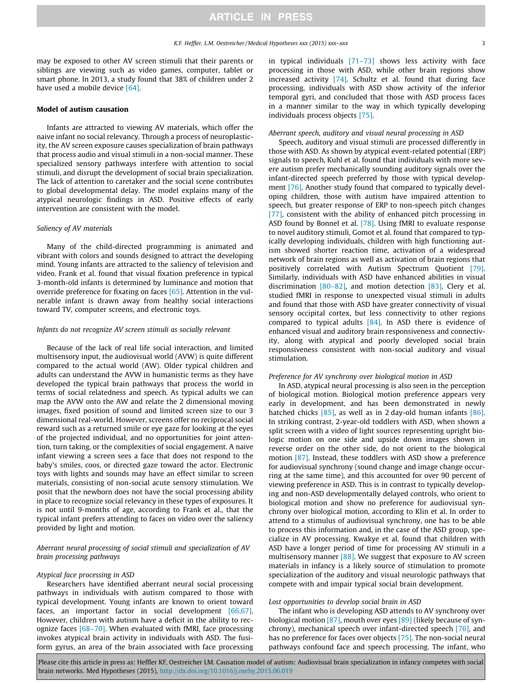may be exposed to other AV screen stimuli that their parents or siblings are viewing such as video games, computer, tablet or smart phone. In 2013, a study found that 38% of children under 2 have used a mobile device [\[64\]](#page-7-0).

#### Model of autism causation

Infants are attracted to viewing AV materials, which offer the naive infant no social relevancy. Through a process of neuroplasticity, the AV screen exposure causes specialization of brain pathways that process audio and visual stimuli in a non-social manner. These specialized sensory pathways interfere with attention to social stimuli, and disrupt the development of social brain specialization. The lack of attention to caretaker and the social scene contributes to global developmental delay. The model explains many of the atypical neurologic findings in ASD. Positive effects of early intervention are consistent with the model.

# Saliency of AV materials

Many of the child-directed programming is animated and vibrant with colors and sounds designed to attract the developing mind. Young infants are attracted to the saliency of television and video. Frank et al. found that visual fixation preference in typical 3-month-old infants is determined by luminance and motion that override preference for fixating on faces [\[65\].](#page-7-0) Attention in the vulnerable infant is drawn away from healthy social interactions toward TV, computer screens, and electronic toys.

#### Infants do not recognize AV screen stimuli as socially relevant

Because of the lack of real life social interaction, and limited multisensory input, the audiovisual world (AVW) is quite different compared to the actual world (AW). Older typical children and adults can understand the AVW in humanistic terms as they have developed the typical brain pathways that process the world in terms of social relatedness and speech. As typical adults we can map the AVW onto the AW and relate the 2 dimensional moving images, fixed position of sound and limited screen size to our 3 dimensional real-world. However, screens offer no reciprocal social reward such as a returned smile or eye gaze for looking at the eyes of the projected individual, and no opportunities for joint attention, turn taking, or the complexities of social engagement. A naive infant viewing a screen sees a face that does not respond to the baby's smiles, coos, or directed gaze toward the actor. Electronic toys with lights and sounds may have an effect similar to screen materials, consisting of non-social acute sensory stimulation. We posit that the newborn does not have the social processing ability in place to recognize social relevancy in these types of exposures. It is not until 9-months of age, according to Frank et al., that the typical infant prefers attending to faces on video over the saliency provided by light and motion.

# Aberrant neural processing of social stimuli and specialization of AV brain processing pathways

#### Atypical face processing in ASD

Researchers have identified aberrant neural social processing pathways in individuals with autism compared to those with typical development. Young infants are known to orient toward faces, an important factor in social development [\[66,67\].](#page-7-0) However, children with autism have a deficit in the ability to recognize faces  $[68-70]$ . When evaluated with fMRI, face processing invokes atypical brain activity in individuals with ASD. The fusiform gyrus, an area of the brain associated with face processing in typical individuals [\[71–73\]](#page-7-0) shows less activity with face processing in those with ASD, while other brain regions show increased activity [\[74\].](#page-7-0) Schultz et al. found that during face processing, individuals with ASD show activity of the inferior temporal gyri, and concluded that those with ASD process faces in a manner similar to the way in which typically developing individuals process objects [\[75\].](#page-7-0)

#### Aberrant speech, auditory and visual neural processing in ASD

Speech, auditory and visual stimuli are processed differently in those with ASD. As shown by atypical event-related potential (ERP) signals to speech, Kuhl et al. found that individuals with more severe autism prefer mechanically sounding auditory signals over the infant-directed speech preferred by those with typical develop-ment [\[76\]](#page-7-0). Another study found that compared to typically developing children, those with autism have impaired attention to speech, but greater response of ERP to non-speech pitch changes [\[77\]](#page-7-0), consistent with the ability of enhanced pitch processing in ASD found by Bonnel et al. [\[78\].](#page-7-0) Using fMRI to evaluate response to novel auditory stimuli, Gomot et al. found that compared to typically developing individuals, children with high functioning autism showed shorter reaction time, activation of a widespread network of brain regions as well as activation of brain regions that positively correlated with Autism Spectrum Quotient [\[79\].](#page-7-0) Similarly, individuals with ASD have enhanced abilities in visual discrimination [\[80–82\],](#page-7-0) and motion detection [\[83\].](#page-7-0) Clery et al. studied fMRI in response to unexpected visual stimuli in adults and found that those with ASD have greater connectivity of visual sensory occipital cortex, but less connectivity to other regions compared to typical adults  $[84]$ . In ASD there is evidence of enhanced visual and auditory brain responsiveness and connectivity, along with atypical and poorly developed social brain responsiveness consistent with non-social auditory and visual stimulation.

#### Preference for AV synchrony over biological motion in ASD

In ASD, atypical neural processing is also seen in the perception of biological motion. Biological motion preference appears very early in development, and has been demonstrated in newly hatched chicks [\[85\],](#page-7-0) as well as in 2 day-old human infants [\[86\].](#page-7-0) In striking contrast, 2-year-old toddlers with ASD, when shown a split screen with a video of light sources representing upright biologic motion on one side and upside down images shown in reverse order on the other side, do not orient to the biological motion [\[87\]](#page-7-0). Instead, these toddlers with ASD show a preference for audiovisual synchrony (sound change and image change occurring at the same time), and this accounted for over 90 percent of viewing preference in ASD. This is in contrast to typically developing and non-ASD developmentally delayed controls, who orient to biological motion and show no preference for audiovisual synchrony over biological motion, according to Klin et al. In order to attend to a stimulus of audiovisual synchrony, one has to be able to process this information and, in the case of the ASD group, specialize in AV processing. Kwakye et al. found that children with ASD have a longer period of time for processing AV stimuli in a multisensory manner [\[88\]](#page-7-0). We suggest that exposure to AV screen materials in infancy is a likely source of stimulation to promote specialization of the auditory and visual neurologic pathways that compete with and impair typical social brain development.

#### Lost opportunities to develop social brain in ASD

The infant who is developing ASD attends to AV synchrony over biological motion [\[87\]](#page-7-0), mouth over eyes [\[89\]](#page-7-0) (likely because of synchrony), mechanical speech over infant-directed speech [\[76\],](#page-7-0) and has no preference for faces over objects [\[75\]](#page-7-0). The non-social neural pathways confound face and speech processing. The infant, who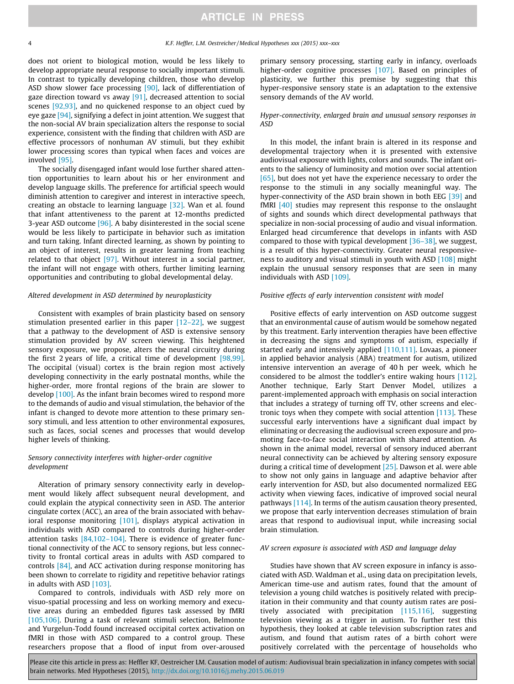does not orient to biological motion, would be less likely to develop appropriate neural response to socially important stimuli. In contrast to typically developing children, those who develop ASD show slower face processing [\[90\],](#page-7-0) lack of differentiation of gaze direction toward vs away  $[91]$ , decreased attention to social scenes [\[92,93\],](#page-7-0) and no quickened response to an object cued by eye gaze [\[94\]](#page-7-0), signifying a defect in joint attention. We suggest that the non-social AV brain specialization alters the response to social experience, consistent with the finding that children with ASD are effective processors of nonhuman AV stimuli, but they exhibit lower processing scores than typical when faces and voices are involved [\[95\]](#page-7-0).

The socially disengaged infant would lose further shared attention opportunities to learn about his or her environment and develop language skills. The preference for artificial speech would diminish attention to caregiver and interest in interactive speech, creating an obstacle to learning language [\[32\]](#page-6-0). Wan et al. found that infant attentiveness to the parent at 12-months predicted 3-year ASD outcome [\[96\].](#page-7-0) A baby disinterested in the social scene would be less likely to participate in behavior such as imitation and turn taking. Infant directed learning, as shown by pointing to an object of interest, results in greater learning from teaching related to that object [\[97\].](#page-7-0) Without interest in a social partner, the infant will not engage with others, further limiting learning opportunities and contributing to global developmental delay.

#### Altered development in ASD determined by neuroplasticity

Consistent with examples of brain plasticity based on sensory stimulation presented earlier in this paper [\[12–22\]](#page-6-0), we suggest that a pathway to the development of ASD is extensive sensory stimulation provided by AV screen viewing. This heightened sensory exposure, we propose, alters the neural circuitry during the first 2 years of life, a critical time of development [\[98,99\].](#page-7-0) The occipital (visual) cortex is the brain region most actively developing connectivity in the early postnatal months, while the higher-order, more frontal regions of the brain are slower to develop [\[100\].](#page-7-0) As the infant brain becomes wired to respond more to the demands of audio and visual stimulation, the behavior of the infant is changed to devote more attention to these primary sensory stimuli, and less attention to other environmental exposures, such as faces, social scenes and processes that would develop higher levels of thinking.

# Sensory connectivity interferes with higher-order cognitive development

Alteration of primary sensory connectivity early in development would likely affect subsequent neural development, and could explain the atypical connectivity seen in ASD. The anterior cingulate cortex (ACC), an area of the brain associated with behavioral response monitoring [\[101\]](#page-7-0), displays atypical activation in individuals with ASD compared to controls during higher-order attention tasks [\[84,102–104\].](#page-7-0) There is evidence of greater functional connectivity of the ACC to sensory regions, but less connectivity to frontal cortical areas in adults with ASD compared to controls [\[84\],](#page-7-0) and ACC activation during response monitoring has been shown to correlate to rigidity and repetitive behavior ratings in adults with ASD [\[103\]](#page-7-0).

Compared to controls, individuals with ASD rely more on visuo-spatial processing and less on working memory and executive areas during an embedded figures task assessed by fMRI [\[105,106\].](#page-7-0) During a task of relevant stimuli selection, Belmonte and Yurgelun-Todd found increased occipital cortex activation on fMRI in those with ASD compared to a control group. These researchers propose that a flood of input from over-aroused primary sensory processing, starting early in infancy, overloads higher-order cognitive processes [\[107\]](#page-7-0). Based on principles of plasticity, we further this premise by suggesting that this hyper-responsive sensory state is an adaptation to the extensive sensory demands of the AV world.

# Hyper-connectivity, enlarged brain and unusual sensory responses in **ASD**

In this model, the infant brain is altered in its response and developmental trajectory when it is presented with extensive audiovisual exposure with lights, colors and sounds. The infant orients to the saliency of luminosity and motion over social attention [\[65\]](#page-7-0), but does not yet have the experience necessary to order the response to the stimuli in any socially meaningful way. The hyper-connectivity of the ASD brain shown in both EEG [\[39\]](#page-6-0) and fMRI  $[40]$  studies may represent this response to the onslaught of sights and sounds which direct developmental pathways that specialize in non-social processing of audio and visual information. Enlarged head circumference that develops in infants with ASD compared to those with typical development [\[36–38\]](#page-6-0), we suggest, is a result of this hyper-connectivity. Greater neural responsiveness to auditory and visual stimuli in youth with ASD [\[108\]](#page-7-0) might explain the unusual sensory responses that are seen in many individuals with ASD [\[109\].](#page-7-0)

#### Positive effects of early intervention consistent with model

Positive effects of early intervention on ASD outcome suggest that an environmental cause of autism would be somehow negated by this treatment. Early intervention therapies have been effective in decreasing the signs and symptoms of autism, especially if started early and intensively applied [\[110,111\].](#page-7-0) Lovaas, a pioneer in applied behavior analysis (ABA) treatment for autism, utilized intensive intervention an average of 40 h per week, which he considered to be almost the toddler's entire waking hours [\[112\].](#page-7-0) Another technique, Early Start Denver Model, utilizes a parent-implemented approach with emphasis on social interaction that includes a strategy of turning off TV, other screens and electronic toys when they compete with social attention  $[113]$ . These successful early interventions have a significant dual impact by eliminating or decreasing the audiovisual screen exposure and promoting face-to-face social interaction with shared attention. As shown in the animal model, reversal of sensory induced aberrant neural connectivity can be achieved by altering sensory exposure during a critical time of development [\[25\]](#page-6-0). Dawson et al. were able to show not only gains in language and adaptive behavior after early intervention for ASD, but also documented normalized EEG activity when viewing faces, indicative of improved social neural pathways [\[114\]](#page-7-0). In terms of the autism causation theory presented, we propose that early intervention decreases stimulation of brain areas that respond to audiovisual input, while increasing social brain stimulation.

#### AV screen exposure is associated with ASD and language delay

Studies have shown that AV screen exposure in infancy is associated with ASD. Waldman et al., using data on precipitation levels, American time-use and autism rates, found that the amount of television a young child watches is positively related with precipitation in their community and that county autism rates are positively associated with precipitation [\[115,116\]](#page-7-0), suggesting television viewing as a trigger in autism. To further test this hypothesis, they looked at cable television subscription rates and autism, and found that autism rates of a birth cohort were positively correlated with the percentage of households who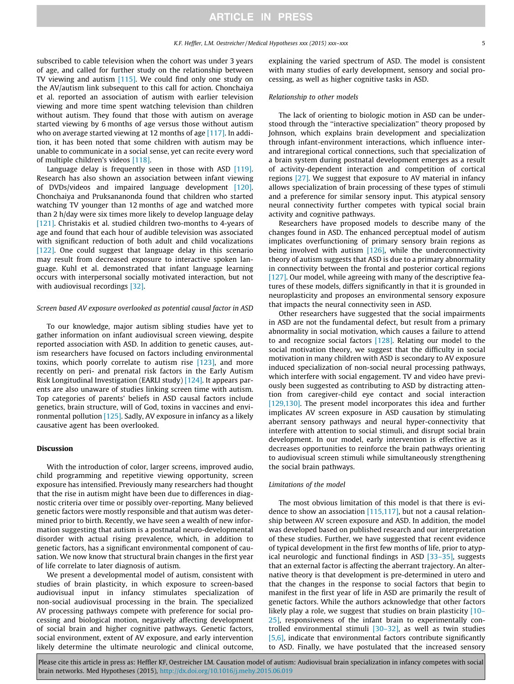subscribed to cable television when the cohort was under 3 years of age, and called for further study on the relationship between TV viewing and autism [\[115\]](#page-7-0). We could find only one study on the AV/autism link subsequent to this call for action. Chonchaiya et al. reported an association of autism with earlier television viewing and more time spent watching television than children without autism. They found that those with autism on average started viewing by 6 months of age versus those without autism who on average started viewing at 12 months of age [\[117\]](#page-8-0). In addition, it has been noted that some children with autism may be unable to communicate in a social sense, yet can recite every word of multiple children's videos [\[118\].](#page-8-0)

Language delay is frequently seen in those with ASD [\[119\].](#page-8-0) Research has also shown an association between infant viewing of DVDs/videos and impaired language development [\[120\].](#page-8-0) Chonchaiya and Pruksananonda found that children who started watching TV younger than 12 months of age and watched more than 2 h/day were six times more likely to develop language delay [\[121\].](#page-8-0) Christakis et al. studied children two-months to 4-years of age and found that each hour of audible television was associated with significant reduction of both adult and child vocalizations [\[122\].](#page-8-0) One could suggest that language delay in this scenario may result from decreased exposure to interactive spoken language. Kuhl et al. demonstrated that infant language learning occurs with interpersonal socially motivated interaction, but not with audiovisual recordings [\[32\]](#page-6-0).

#### Screen based AV exposure overlooked as potential causal factor in ASD

To our knowledge, major autism sibling studies have yet to gather information on infant audiovisual screen viewing, despite reported association with ASD. In addition to genetic causes, autism researchers have focused on factors including environmental toxins, which poorly correlate to autism rise [\[123\],](#page-8-0) and more recently on peri- and prenatal risk factors in the Early Autism Risk Longitudinal Investigation (EARLI study) [\[124\]](#page-8-0). It appears parents are also unaware of studies linking screen time with autism. Top categories of parents' beliefs in ASD causal factors include genetics, brain structure, will of God, toxins in vaccines and environmental pollution [\[125\]](#page-8-0). Sadly, AV exposure in infancy as a likely causative agent has been overlooked.

#### Discussion

With the introduction of color, larger screens, improved audio, child programming and repetitive viewing opportunity, screen exposure has intensified. Previously many researchers had thought that the rise in autism might have been due to differences in diagnostic criteria over time or possibly over-reporting. Many believed genetic factors were mostly responsible and that autism was determined prior to birth. Recently, we have seen a wealth of new information suggesting that autism is a postnatal neuro-developmental disorder with actual rising prevalence, which, in addition to genetic factors, has a significant environmental component of causation. We now know that structural brain changes in the first year of life correlate to later diagnosis of autism.

We present a developmental model of autism, consistent with studies of brain plasticity, in which exposure to screen-based audiovisual input in infancy stimulates specialization of non-social audiovisual processing in the brain. The specialized AV processing pathways compete with preference for social processing and biological motion, negatively affecting development of social brain and higher cognitive pathways. Genetic factors, social environment, extent of AV exposure, and early intervention likely determine the ultimate neurologic and clinical outcome,

explaining the varied spectrum of ASD. The model is consistent with many studies of early development, sensory and social processing, as well as higher cognitive tasks in ASD.

#### Relationship to other models

The lack of orienting to biologic motion in ASD can be understood through the ''interactive specialization'' theory proposed by Johnson, which explains brain development and specialization through infant-environment interactions, which influence interand intraregional cortical connections, such that specialization of a brain system during postnatal development emerges as a result of activity-dependent interaction and competition of cortical regions [\[27\].](#page-6-0) We suggest that exposure to AV material in infancy allows specialization of brain processing of these types of stimuli and a preference for similar sensory input. This atypical sensory neural connectivity further competes with typical social brain activity and cognitive pathways.

Researchers have proposed models to describe many of the changes found in ASD. The enhanced perceptual model of autism implicates overfunctioning of primary sensory brain regions as being involved with autism  $[126]$ , while the underconnectivity theory of autism suggests that ASD is due to a primary abnormality in connectivity between the frontal and posterior cortical regions [\[127\].](#page-8-0) Our model, while agreeing with many of the descriptive features of these models, differs significantly in that it is grounded in neuroplasticity and proposes an environmental sensory exposure that impacts the neural connectivity seen in ASD.

Other researchers have suggested that the social impairments in ASD are not the fundamental defect, but result from a primary abnormality in social motivation, which causes a failure to attend to and recognize social factors [\[128\].](#page-8-0) Relating our model to the social motivation theory, we suggest that the difficulty in social motivation in many children with ASD is secondary to AV exposure induced specialization of non-social neural processing pathways, which interfere with social engagement. TV and video have previously been suggested as contributing to ASD by distracting attention from caregiver-child eye contact and social interaction [\[129,130\].](#page-8-0) The present model incorporates this idea and further implicates AV screen exposure in ASD causation by stimulating aberrant sensory pathways and neural hyper-connectivity that interfere with attention to social stimuli, and disrupt social brain development. In our model, early intervention is effective as it decreases opportunities to reinforce the brain pathways orienting to audiovisual screen stimuli while simultaneously strengthening the social brain pathways.

# Limitations of the model

The most obvious limitation of this model is that there is evidence to show an association [\[115,117\],](#page-7-0) but not a causal relationship between AV screen exposure and ASD. In addition, the model was developed based on published research and our interpretation of these studies. Further, we have suggested that recent evidence of typical development in the first few months of life, prior to atypical neurologic and functional findings in ASD [\[33–35\]](#page-6-0), suggests that an external factor is affecting the aberrant trajectory. An alternative theory is that development is pre-determined in utero and that the changes in the response to social factors that begin to manifest in the first year of life in ASD are primarily the result of genetic factors. While the authors acknowledge that other factors likely play a role, we suggest that studies on brain plasticity [10-[25\],](#page-6-0) responsiveness of the infant brain to experimentally controlled environmental stimuli [\[30–32\],](#page-6-0) as well as twin studies [\[5,6\],](#page-6-0) indicate that environmental factors contribute significantly to ASD. Finally, we have postulated that the increased sensory

Please cite this article in press as: Heffler KF, Oestreicher LM. Causation model of autism: Audiovisual brain specialization in infancy competes with social

brain networks. Med Hypotheses (2015), <http://dx.doi.org/10.1016/j.mehy.2015.06.019>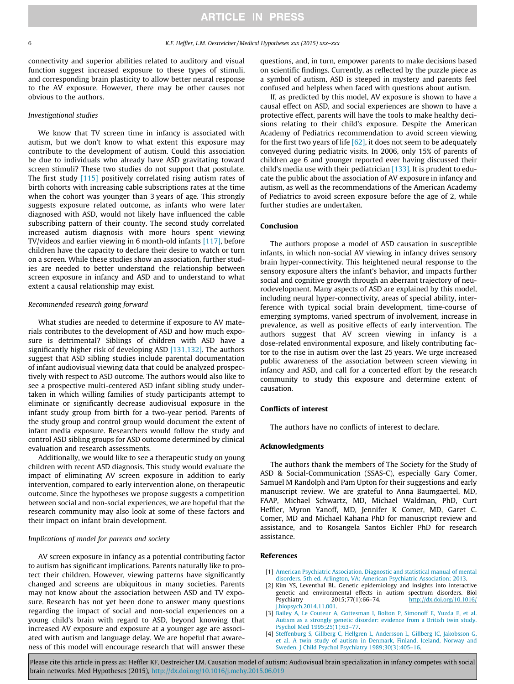<span id="page-5-0"></span>connectivity and superior abilities related to auditory and visual function suggest increased exposure to these types of stimuli, and corresponding brain plasticity to allow better neural response to the AV exposure. However, there may be other causes not obvious to the authors.

#### Investigational studies

We know that TV screen time in infancy is associated with autism, but we don't know to what extent this exposure may contribute to the development of autism. Could this association be due to individuals who already have ASD gravitating toward screen stimuli? These two studies do not support that postulate. The first study [\[115\]](#page-7-0) positively correlated rising autism rates of birth cohorts with increasing cable subscriptions rates at the time when the cohort was younger than 3 years of age. This strongly suggests exposure related outcome, as infants who were later diagnosed with ASD, would not likely have influenced the cable subscribing pattern of their county. The second study correlated increased autism diagnosis with more hours spent viewing TV/videos and earlier viewing in 6 month-old infants [\[117\],](#page-8-0) before children have the capacity to declare their desire to watch or turn on a screen. While these studies show an association, further studies are needed to better understand the relationship between screen exposure in infancy and ASD and to understand to what extent a causal relationship may exist.

#### Recommended research going forward

What studies are needed to determine if exposure to AV materials contributes to the development of ASD and how much exposure is detrimental? Siblings of children with ASD have a significantly higher risk of developing ASD [\[131,132\].](#page-8-0) The authors suggest that ASD sibling studies include parental documentation of infant audiovisual viewing data that could be analyzed prospectively with respect to ASD outcome. The authors would also like to see a prospective multi-centered ASD infant sibling study undertaken in which willing families of study participants attempt to eliminate or significantly decrease audiovisual exposure in the infant study group from birth for a two-year period. Parents of the study group and control group would document the extent of infant media exposure. Researchers would follow the study and control ASD sibling groups for ASD outcome determined by clinical evaluation and research assessments.

Additionally, we would like to see a therapeutic study on young children with recent ASD diagnosis. This study would evaluate the impact of eliminating AV screen exposure in addition to early intervention, compared to early intervention alone, on therapeutic outcome. Since the hypotheses we propose suggests a competition between social and non-social experiences, we are hopeful that the research community may also look at some of these factors and their impact on infant brain development.

#### Implications of model for parents and society

AV screen exposure in infancy as a potential contributing factor to autism has significant implications. Parents naturally like to protect their children. However, viewing patterns have significantly changed and screens are ubiquitous in many societies. Parents may not know about the association between ASD and TV exposure. Research has not yet been done to answer many questions regarding the impact of social and non-social experiences on a young child's brain with regard to ASD, beyond knowing that increased AV exposure and exposure at a younger age are associated with autism and language delay. We are hopeful that awareness of this model will encourage research that will answer these

questions, and, in turn, empower parents to make decisions based on scientific findings. Currently, as reflected by the puzzle piece as a symbol of autism, ASD is steeped in mystery and parents feel confused and helpless when faced with questions about autism.

If, as predicted by this model, AV exposure is shown to have a causal effect on ASD, and social experiences are shown to have a protective effect, parents will have the tools to make healthy decisions relating to their child's exposure. Despite the American Academy of Pediatrics recommendation to avoid screen viewing for the first two years of life  $[62]$ , it does not seem to be adequately conveyed during pediatric visits. In 2006, only 15% of parents of children age 6 and younger reported ever having discussed their child's media use with their pediatrician  $[133]$ . It is prudent to educate the public about the association of AV exposure in infancy and autism, as well as the recommendations of the American Academy of Pediatrics to avoid screen exposure before the age of 2, while further studies are undertaken.

# Conclusion

The authors propose a model of ASD causation in susceptible infants, in which non-social AV viewing in infancy drives sensory brain hyper-connectivity. This heightened neural response to the sensory exposure alters the infant's behavior, and impacts further social and cognitive growth through an aberrant trajectory of neurodevelopment. Many aspects of ASD are explained by this model, including neural hyper-connectivity, areas of special ability, interference with typical social brain development, time-course of emerging symptoms, varied spectrum of involvement, increase in prevalence, as well as positive effects of early intervention. The authors suggest that AV screen viewing in infancy is a dose-related environmental exposure, and likely contributing factor to the rise in autism over the last 25 years. We urge increased public awareness of the association between screen viewing in infancy and ASD, and call for a concerted effort by the research community to study this exposure and determine extent of causation.

# Conflicts of interest

The authors have no conflicts of interest to declare.

#### Acknowledgments

The authors thank the members of The Society for the Study of ASD & Social-Communication (SSAS-C), especially Gary Comer, Samuel M Randolph and Pam Upton for their suggestions and early manuscript review. We are grateful to Anna Baumgaertel, MD, FAAP, Michael Schwartz, MD, Michael Waldman, PhD, Curt Heffler, Myron Yanoff, MD, Jennifer K Comer, MD, Garet C. Comer, MD and Michael Kahana PhD for manuscript review and assistance, and to Rosangela Santos Eichler PhD for research assistance.

## References

- [1] [American Psychiatric Association. Diagnostic and statistical manual of mental](http://refhub.elsevier.com/S0306-9877(15)00238-8/h0005) [disorders. 5th ed. Arlington, VA: American Psychiatric Association; 2013](http://refhub.elsevier.com/S0306-9877(15)00238-8/h0005).
- [2] Kim YS, Leventhal BL. Genetic epidemiology and insights into interactive genetic and environmental effects in autism spectrum disorders. Biol<br>Psychiatry 2015;77(1):66-74. http://dx.doi.org/10.1016/  $http://dx.doi.org/10.1016/$ [j.biopsych.2014.11.001](http://dx.doi.org/10.1016/j.biopsych.2014.11.001).
- [3] [Bailey A, Le Couteur A, Gottesman I, Bolton P, Simonoff E, Yuzda E, et al.](http://refhub.elsevier.com/S0306-9877(15)00238-8/h0015) [Autism as a strongly genetic disorder: evidence from a British twin study.](http://refhub.elsevier.com/S0306-9877(15)00238-8/h0015) [Psychol Med 1995;25\(1\):63–77.](http://refhub.elsevier.com/S0306-9877(15)00238-8/h0015)
- [4] [Steffenburg S, Gillberg C, Hellgren L, Andersson L, Gillberg IC, Jakobsson G,](http://refhub.elsevier.com/S0306-9877(15)00238-8/h0020) [et al. A twin study of autism in Denmark, Finland, Iceland, Norway and](http://refhub.elsevier.com/S0306-9877(15)00238-8/h0020) [Sweden. J Child Psychol Psychiatry 1989;30\(3\):405–16.](http://refhub.elsevier.com/S0306-9877(15)00238-8/h0020)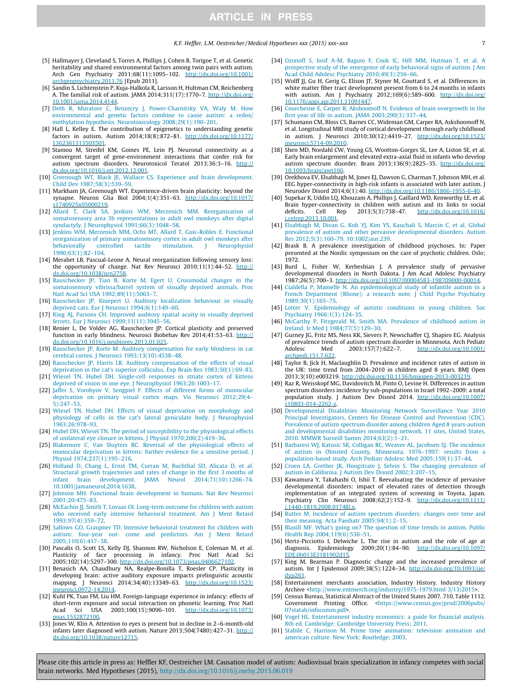- <span id="page-6-0"></span>[5] Hallmayer J, Cleveland S, Torres A, Phillips J, Cohen B, Torigoe T, et al. Genetic heritability and shared environmental factors among twin pairs with autism. Arch Gen Psychiatry 2011;68(11):1095–102. <u>[http://dx.doi.org/10.1001/](http://dx.doi.org/10.1001/archgenpsychiatry.2011.76)</u><br><u>[archgenpsychiatry.2011.76](http://dx.doi.org/10.1001/archgenpsychiatry.2011.76)</u> [Epub 2011].
- [6] Sandin S, Lichtenstein P, Kuja-Halkola R, Larsson H, Hultman CM, Reichenberg A. The familial risk of autism. JAMA 2014;311(17):1770–7. [http://dx.doi.org/](http://dx.doi.org/10.1001/jama.2014.4144) [10.1001/jama.2014.4144.](http://dx.doi.org/10.1001/jama.2014.4144)
- [7] [Deth R, Muratore C, Benzecry J, Power-Charnitsky VA, Waly M. How](http://refhub.elsevier.com/S0306-9877(15)00238-8/h0035) [environmental and genetic factors combine to cause autism: a redox/](http://refhub.elsevier.com/S0306-9877(15)00238-8/h0035) [methylation hypothesis. Neurotoxicology 2008;29\(1\):190–201.](http://refhub.elsevier.com/S0306-9877(15)00238-8/h0035)
- [8] Hall L, Kelley E. The contribution of epigenetics to understanding genetic factors in autism. Autism  $2014;18(8):872-81.$  http://dx.doi.org [1362361313503501.](http://dx.doi.org/10.1177/1362361313503501)
- [9] Stamou M, Streifel KM, Goines PE, Lein PJ. Neuronal connectivity as a convergent target of gene-environment interactions that confer risk for autism spectrum disorders. Neurotoxicol Teratol 2013;36:3–16. [http://](http://dx.doi.org/10.1016/j.ntt.2012.12.001) [dx.doi.org/10.1016/j.ntt.2012.12.001.](http://dx.doi.org/10.1016/j.ntt.2012.12.001)
- [10] [Greenough WT, Black JE, Wallace CS. Experience and brain development.](http://refhub.elsevier.com/S0306-9877(15)00238-8/h0050) [Child Dev 1987;58\(3\):539–59.](http://refhub.elsevier.com/S0306-9877(15)00238-8/h0050)
- [11] Markham JA, Greenough WT. Experience-driven brain plasticity: beyond the synapse. Neuron Glia Biol 2004;1(4):351–63. [http://dx.doi.org/10.1017/](http://dx.doi.org/10.1017/s1740925x05000219) [s1740925x05000219.](http://dx.doi.org/10.1017/s1740925x05000219)
- [12] [Allard T, Clark SA, Jenkins WM, Merzenich MM. Reorganization of](http://refhub.elsevier.com/S0306-9877(15)00238-8/h0060) [somatosensory area 3b representations in adult owl monkeys after digital](http://refhub.elsevier.com/S0306-9877(15)00238-8/h0060) [syndactyly. J Neurophysiol 1991;66\(3\):1048–58](http://refhub.elsevier.com/S0306-9877(15)00238-8/h0060).
- [13] [Jenkins WM, Merzenich MM, Ochs MT, Allard T, Guic-Robles E. Functional](http://refhub.elsevier.com/S0306-9877(15)00238-8/h0065) [reorganization of primary somatosensory cortex in adult owl monkeys after](http://refhub.elsevier.com/S0306-9877(15)00238-8/h0065) I Neurophysiol [1990;63\(1\):82–104](http://refhub.elsevier.com/S0306-9877(15)00238-8/h0065).
- [14] Merabet LB, Pascual-Leone A. Neural reorganization following sensory loss: the opportunity of change. Nat Rev Neurosci 2010;11(1):44–52. [http://](http://dx.doi.org/10.1038/nrn2758) [dx.doi.org/10.1038/nrn2758](http://dx.doi.org/10.1038/nrn2758).
- [15] [Rauschecker JP, Tian B, Korte M, Egert U. Crossmodal changes in the](http://refhub.elsevier.com/S0306-9877(15)00238-8/h0075) [somatosensory vibrissa/barrel system of visually deprived animals. Proc](http://refhub.elsevier.com/S0306-9877(15)00238-8/h0075) [Natl Acad Sci USA 1992;89\(11\):5063–7](http://refhub.elsevier.com/S0306-9877(15)00238-8/h0075).
- [16] [Rauschecker JP, Kniepert U. Auditory localization behaviour in visually](http://refhub.elsevier.com/S0306-9877(15)00238-8/h0080) [deprived cats. Eur J Neurosci 1994;6\(1\):149–60](http://refhub.elsevier.com/S0306-9877(15)00238-8/h0080).
- [17] [King AJ, Parsons CH. Improved auditory spatial acuity in visually deprived](http://refhub.elsevier.com/S0306-9877(15)00238-8/h0085) [ferrets. Eur J Neurosci 1999;11\(11\):3945–56.](http://refhub.elsevier.com/S0306-9877(15)00238-8/h0085)
- [18] Renier L, De Volder AG, Rauschecker JP. Cortical plasticity and preserved function in early blindness. Neurosci Biobehav Rev 2014;41:53-63. [http://](http://dx.doi.org/10.1016/j.neubiorev.2013.01.025) [dx.doi.org/10.1016/j.neubiorev.2013.01.025](http://dx.doi.org/10.1016/j.neubiorev.2013.01.025).
- [19] [Rauschecker JP, Korte M. Auditory compensation for early blindness in cat](http://refhub.elsevier.com/S0306-9877(15)00238-8/h0095) [cerebral cortex. J Neurosci 1993;13\(10\):4538–48](http://refhub.elsevier.com/S0306-9877(15)00238-8/h0095).
- [20] [Rauschecker JP, Harris LR. Auditory compensation of the effects of visual](http://refhub.elsevier.com/S0306-9877(15)00238-8/h0100) [deprivation in the cat's superior colliculus. Exp Brain Res 1983;50\(1\):69–83](http://refhub.elsevier.com/S0306-9877(15)00238-8/h0100).
- [21] [Wiesel TN, Hubel DH. Single-cell responses in striate cortex of kittens](http://refhub.elsevier.com/S0306-9877(15)00238-8/h0105) [deprived of vision in one eye. J Neurophysiol 1963;26:1003–17.](http://refhub.elsevier.com/S0306-9877(15)00238-8/h0105)
- [22] [Jaffer S, Vorobyov V, Sengpiel F. Effects of different forms of monocular](http://refhub.elsevier.com/S0306-9877(15)00238-8/h0110) [deprivation on primary visual cortex maps. Vis Neurosci 2012;29\(4–](http://refhub.elsevier.com/S0306-9877(15)00238-8/h0110) [5\):247–53.](http://refhub.elsevier.com/S0306-9877(15)00238-8/h0110)
- [23] [Wiesel TN, Hubel DH. Effects of visual deprivation on morphology and](http://refhub.elsevier.com/S0306-9877(15)00238-8/h0115) [physiology of cells in the cat's lateral geniculate body. J Neurophysiol](http://refhub.elsevier.com/S0306-9877(15)00238-8/h0115) [1963;26:978–93.](http://refhub.elsevier.com/S0306-9877(15)00238-8/h0115)
- [24] [Hubel DH, Wiesel TN. The period of susceptibility to the physiological effects](http://refhub.elsevier.com/S0306-9877(15)00238-8/h0120) [of unilateral eye closure in kittens. J Physiol 1970;206\(2\):419–36](http://refhub.elsevier.com/S0306-9877(15)00238-8/h0120).
- [25] [Blakemore C, Van Sluyters RC. Reversal of the physiological effects of](http://refhub.elsevier.com/S0306-9877(15)00238-8/h0125) [monocular deprivation in kittens: further evidence for a sensitive period. J](http://refhub.elsevier.com/S0306-9877(15)00238-8/h0125) [Physiol 1974;237\(1\):195–216.](http://refhub.elsevier.com/S0306-9877(15)00238-8/h0125)
- [26] [Holland D, Chang L, Ernst TM, Curran M, Buchthal SD, Alicata D, et al.](http://refhub.elsevier.com/S0306-9877(15)00238-8/h0130) [Structural growth trajectories and rates of change in the first 3 months of](http://refhub.elsevier.com/S0306-9877(15)00238-8/h0130) [infant brain development. JAMA Neurol 2014;71\(10\):1266–74.](http://refhub.elsevier.com/S0306-9877(15)00238-8/h0130) [10.1001/jamaneurol.2014.1638](http://refhub.elsevier.com/S0306-9877(15)00238-8/h0130).
- [27] [Johnson MH. Functional brain development in humans. Nat Rev Neurosci](http://refhub.elsevier.com/S0306-9877(15)00238-8/h0135) [2001;20:475–83.](http://refhub.elsevier.com/S0306-9877(15)00238-8/h0135)
- [28] [McEachin JJ, Smith T, Lovaas OI. Long-term outcome for children with autism](http://refhub.elsevier.com/S0306-9877(15)00238-8/h0140) [who received early intensive behavioral treatment. Am J Ment Retard](http://refhub.elsevier.com/S0306-9877(15)00238-8/h0140) [1993;97\(4\):359–72](http://refhub.elsevier.com/S0306-9877(15)00238-8/h0140).
- [29] [Sallows GO, Graupner TD. Intensive behavioral treatment for children with](http://refhub.elsevier.com/S0306-9877(15)00238-8/h0145) [autism: four-year out- come and predictors. Am J Ment Retard](http://refhub.elsevier.com/S0306-9877(15)00238-8/h0145) [2005;110\(6\):417–38](http://refhub.elsevier.com/S0306-9877(15)00238-8/h0145).
- [30] Pascalis O, Scott LS, Kelly DJ, Shannon RW, Nicholson E, Coleman M, et al. Plasticity of face processing in infancy. Proc Natl Acad Sci<br>2005;102(14):5297–300.<http://dx.doi.org/10.1073/pnas.0406627102>.
- [31] Benasich AA, Chaudhury NA, Realpe-Bonilla T, Roesler CP. Plasticity in developing brain: active auditory exposure impacts prelinguistic acoustic mapping. J Neurosci 2014;34(40):13349-63. [http://dx.doi.org/10.1523/](http://dx.doi.org/10.1523/jneurosci.0972-14.2014) [jneurosci.0972-14.2014.](http://dx.doi.org/10.1523/jneurosci.0972-14.2014)
- [32] Kuhl PK, Tsao FM, Liu HM. Foreign-language experience in infancy: effects of short-term exposure and social interaction on phonetic learning. Proc Natl Acad Sci USA 2003;100(15):9096-101. http://dx.doi [pnas.1532872100](http://dx.doi.org/10.1073/pnas.1532872100).
- [33] Jones W, Klin A. Attention to eyes is present but in decline in 2–6-month-old infants later diagnosed with autism. Nature 2013;504(7480):427–31. [http://](http://dx.doi.org/10.1038/nature12715) [dx.doi.org/10.1038/nature12715](http://dx.doi.org/10.1038/nature12715).
- [34] [Ozonoff S, Iosif A-M, Baguio F, Cook IC, Hill MM, Hutman T, et al. A](http://refhub.elsevier.com/S0306-9877(15)00238-8/h0170) [prospective study of the emergence of early behavioral signs of autism. J Am](http://refhub.elsevier.com/S0306-9877(15)00238-8/h0170) [Acad Child Adolesc Psychiatry 2010;49\(3\):256–66.](http://refhub.elsevier.com/S0306-9877(15)00238-8/h0170)
- [35] Wolff JJ, Gu H, Gerig G, Elison JT, Styner M, Gouttard S, et al. Differences in white matter fiber tract development present from 6 to 24 months in infants with autism. Am J Psychiatry 2012;169(6):589–600. [http://dx.doi.org/](http://dx.doi.org/10.1176/appi.ajp.2011.11091447) [10.1176/appi.ajp.2011.11091447.](http://dx.doi.org/10.1176/appi.ajp.2011.11091447)
- [36] [Courchesne E, Carper R, Akshoomoff N. Evidence of brain overgrowth in the](http://refhub.elsevier.com/S0306-9877(15)00238-8/h0180) [first year of life in autism. JAMA 2003;290\(3\):337–44.](http://refhub.elsevier.com/S0306-9877(15)00238-8/h0180)
- [37] Schumann CM, Bloss CS, Barnes CC, Wideman GM, Carper RA, Askshoomoff N, et al. Longitudinal MRI study of cortical development through early childhood in autism. J Neurosci 2010;30(12):4419-27. http://dx.doi.org [jneurosci.5714-09.2010.](http://dx.doi.org/10.1523/jneurosci.5714-09.2010)
- [38] Shen MD, Nordahl CW, Young GS, Wootton-Gorges SL, Lee A, Liston SE, et al. Early brain enlargement and elevated extra-axial fluid in infants who develop autism spectrum disorder. Brain 2013;136(9):2825–35. [http://dx.doi.org/](http://dx.doi.org/10.1093/brain/awt166) [10.1093/brain/awt166.](http://dx.doi.org/10.1093/brain/awt166)
- [39] Orekhova EV, Elsabbagh M, Jones EJ, Dawson G, Charman T, Johnson MH, et al. EEG hyper-connectivity in high-risk infants is associated with later autism. J Neurodev Disord 2014;6(1):40. http://dx.doi.org/10.1186/1866
- [40] Supekar K, Uddin LQ, Khouzam A, Phillips J, Gaillard WD, Kenworthy LE, et al. Brain hyper-connectivity in children with autism and its links to social deficits. Cell Rep 2013;5(3):738-47.  $\frac{http://dx.doi.org/10.1016/}{http://dx.doi.org/10.1016/}$ 2013;5(3):738–47. [j.celrep.2013.10.001](http://dx.doi.org/10.1016/j.celrep.2013.10.001).
- [41] [Elsabbagh M, Divan G, Koh YJ, Kim YS, Kauchali S, Marcin C, et al. Global](http://refhub.elsevier.com/S0306-9877(15)00238-8/h0205) [prevalence of autism and other pervasive developmental disorders. Autism](http://refhub.elsevier.com/S0306-9877(15)00238-8/h0205) [Res 2012;5\(3\):160–79. 10:1002/aur.239](http://refhub.elsevier.com/S0306-9877(15)00238-8/h0205).
- [42] Brask B. A prevalence investigation of childhood psychoses. In: Paper presented at the Nordic symposium on the care of psychotic children. Oslo; 1972.
- [43] Burd L, Fisher W, Kerbeshian J. A prevalence study of pervasive developmental disorders in North Dakota. J Am Acad Adolesc Psychiatry 1987;26(5):700–3. <http://dx.doi.org/10.1097/00004583-198709000-00014>.
- [44] [Cialdella P, Mamelle N. An epidemiological study of infantile autism in a](http://refhub.elsevier.com/S0306-9877(15)00238-8/h0220) [French Department \(Rhone\): a research note. J Child Psycho Psychiatry](http://refhub.elsevier.com/S0306-9877(15)00238-8/h0220) [1989;30\(1\):165–75](http://refhub.elsevier.com/S0306-9877(15)00238-8/h0220).
- [45] [Lotter V. Epidemiology of autistic conditions in young children. Soc](http://refhub.elsevier.com/S0306-9877(15)00238-8/h0225) [Psychiatry 1966;1\(3\):124–35](http://refhub.elsevier.com/S0306-9877(15)00238-8/h0225).
- [46] [McCarthy P, Fitzgerald M, Smith MA. Prevalence of childhood autism in](http://refhub.elsevier.com/S0306-9877(15)00238-8/h0230) [Ireland. Ir Med J 1984;77\(5\):129–30.](http://refhub.elsevier.com/S0306-9877(15)00238-8/h0230)
- [47] Gurney JG, Fritz MS, Ness KK, Sievers P, Newschaffer CJ, Shapiro EG. Analysis of prevalence trends of autism spectrum disorder in Minnesota. Arch Pediatr Adolesc Med 2003;157(7):622–7. [http://dx.doi.org/10.1001/](http://dx.doi.org/10.1001/archpedi.151.7.622) archpedi.151.7.62
- [48] Taylor B, Jick H, Maclaughlin D. Prevalence and incidence rates of autism in the UK: time trend from 2004–2010 in children aged 8 years. BMJ Open 2013;3(10):e003219. <http://dx.doi.org/10.1136/bmjopen-2013-003219>.
- [49] Raz R, Weisskopf MG, Davidovitch M, Pinto O, Levine H. Differences in autism spectrum disorders incidence by sub-populations in Israel 1992–2009: a total population study. J Autism Dev Disord 2014. [http://dx.doi.org/10.1007/](http://dx.doi.org/10.1007/s10803-014-2262-z) [s10803-014-2262-z](http://dx.doi.org/10.1007/s10803-014-2262-z).
- [50] [Developmental Disabilities Monitoring Network Surveillance Year 2010](http://refhub.elsevier.com/S0306-9877(15)00238-8/h0250) [Principal Investigators, Centers for Disease Control and Prevention \(CDC\).](http://refhub.elsevier.com/S0306-9877(15)00238-8/h0250) [Prevalence of autism spectrum disorder among children Aged 8 years-autism](http://refhub.elsevier.com/S0306-9877(15)00238-8/h0250) [and developmental disabilities monitoring network, 11 sites, United States,](http://refhub.elsevier.com/S0306-9877(15)00238-8/h0250) [2010. MMWR Surveill Summ 2014;63\(2\):1–21](http://refhub.elsevier.com/S0306-9877(15)00238-8/h0250).
- [51] [Barbaresi WJ, Katusic SK, Colligan RC, Weaver AL, Jacobsen SJ. The incidence](http://refhub.elsevier.com/S0306-9877(15)00238-8/h0255) [of autism in Olmsted County, Minnesota, 1976–1997: results from a](http://refhub.elsevier.com/S0306-9877(15)00238-8/h0255) [population-based study. Arch Pediatr Adolesc Med 2005;159\(1\):37–44.](http://refhub.elsevier.com/S0306-9877(15)00238-8/h0255)
- [52] [Croen LA, Grether JK, Hoogstrate J, Selvin S. The changing prevalence of](http://refhub.elsevier.com/S0306-9877(15)00238-8/h0260) [autism in California. J Autism Dev Disord 2002;3:207–15](http://refhub.elsevier.com/S0306-9877(15)00238-8/h0260).
- [53] Kawamura Y, Takahashi O, Ishii T. Reevaluating the incidence of pervasive developmental disorders: impact of elevated rates of detection through implementation of an integrated system of screening in Toyota, Japan. Psychiatry Clin Neurosci 2008;62(2):152–9. [http://dx.doi.org/10.1111/](http://dx.doi.org/10.1111/j.1440-1819.2008.01748l.x) i.1440-1819.2008.01748l.x.
- [54] [Rutter M. Incidence of autism spectrum disorders: changes over time and](http://refhub.elsevier.com/S0306-9877(15)00238-8/h0270) [their meaning. Acta Paediatr 2005;94\(1\):2–15.](http://refhub.elsevier.com/S0306-9877(15)00238-8/h0270)
- [55] [Blaxill MF. What's going on? The question of time trends in autism. Public](http://refhub.elsevier.com/S0306-9877(15)00238-8/h0275) [Health Rep 2004;119\(6\):536–51.](http://refhub.elsevier.com/S0306-9877(15)00238-8/h0275)
- [56] Hertz-Picciotto I, Delwiche L. The rise in autism and the role of age at diagnosis. Epidemiology 2009;20(1):84–90. [http://dx.doi.org/10.1097/](http://dx.doi.org/10.1097/EDE.0b013E3181902d15) [EDE.0b013E3181902d15.](http://dx.doi.org/10.1097/EDE.0b013E3181902d15)
- [57] King M, Bearman P. Diagnostic change and the increased prevalence of autism. Int J Epidemiol 2009;38(5):1224–34. [http://dx.doi.org/10.1093/ije/](http://dx.doi.org/10.1093/ije/dyp261) [dyp261](http://dx.doi.org/10.1093/ije/dyp261).
- [58] Entertainment merchants association, Industry History. Industry History Archive [<http://www.entmerch.org/industry/1975-1979.html 3/13/2015](http://www.entmerch.org/industry/1975-1979.html%203/13/2015)>.
- [59] Census Bureau, Statistical Abstract of the United States 2007. 710, Table 1112. Government Printing Office. [<https://www.census.gov/prod/2006pubs/](https://www.census.gov/prod/2006pubs/07statab/infocomm.pdf) [07statab/infocomm.pdf>](https://www.census.gov/prod/2006pubs/07statab/infocomm.pdf).
- [60] [Vogel HL. Entertainment industry economics: a guide for financial analysis.](http://refhub.elsevier.com/S0306-9877(15)00238-8/h0300) [8th ed. Cambridge: Cambridge University Press; 2011](http://refhub.elsevier.com/S0306-9877(15)00238-8/h0300).
- [61] [Stabile C, Harrison M. Prime time animation: television animation and](http://refhub.elsevier.com/S0306-9877(15)00238-8/h0305) [american culture. New York: Routledge; 2003.](http://refhub.elsevier.com/S0306-9877(15)00238-8/h0305)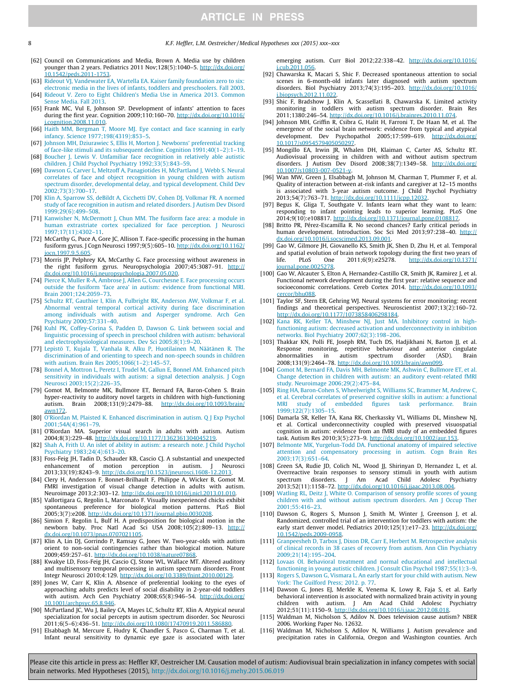# **ARTICLE IN PRESS**

- [62] Council on Communications and Media, Brown A. Media use by children younger than 2 years. Pediatrics 2011 Nov;128(5):1040-5. [http://dx.doi.org/](http://dx.doi.org/10.1542/peds.2011-1753) 2011-1753
- [63] [Rideout VJ, Vandewater EA, Wartella EA. Kaiser family foundation zero to six:](http://refhub.elsevier.com/S0306-9877(15)00238-8/h0315) [electronic media in the lives of infants, toddlers and preschoolers. Fall 2003](http://refhub.elsevier.com/S0306-9877(15)00238-8/h0315). [64] [Rideout V. Zero to Eight Children's Media Use in America 2013. Common](http://refhub.elsevier.com/S0306-9877(15)00238-8/h0320)
- [Sense Media. Fall 2013](http://refhub.elsevier.com/S0306-9877(15)00238-8/h0320). [65] Frank MC, Vul E, Johnson SP. Development of infants' attention to faces
- during the first year. Cognition 2009;110:160–70. [http://dx.doi.org/10.1016/](http://dx.doi.org/10.1016/j.cognition.2008.11.010) penition.2008.11.010
- [66] [Haith MM, Bergman T, Moore MJ. Eye contact and face scanning in early](http://refhub.elsevier.com/S0306-9877(15)00238-8/h0330) [infancy. Science 1977;198\(4319\):853–5.](http://refhub.elsevier.com/S0306-9877(15)00238-8/h0330)
- [67] [Johnson MH, Dziurawiec S, Ellis H, Morton J. Newborns' preferential tracking](http://refhub.elsevier.com/S0306-9877(15)00238-8/h0335) [of face-like stimuli and its subsequent decline. Cognition 1991;40\(1–2\):1–19](http://refhub.elsevier.com/S0306-9877(15)00238-8/h0335).
- [68] [Boucher J, Lewis V. Unfamiliar face recognition in relatively able autistic](http://refhub.elsevier.com/S0306-9877(15)00238-8/h0340) [children. J Child Psychol Psychiatry 1992;33\(5\):843–59.](http://refhub.elsevier.com/S0306-9877(15)00238-8/h0340)
- [69] [Dawson G, Carver L, Meltzoff A, Panagiotides H, McPartland J, Webb S. Neural](http://refhub.elsevier.com/S0306-9877(15)00238-8/h0345) [correlates of face and object recognition in young children with autism](http://refhub.elsevier.com/S0306-9877(15)00238-8/h0345) [spectrum disorder, developmental delay, and typical development. Child Dev](http://refhub.elsevier.com/S0306-9877(15)00238-8/h0345) [2002;73\(3\):700–17](http://refhub.elsevier.com/S0306-9877(15)00238-8/h0345).
- [70] [Klin A, Sparrow SS, deBildt A, Cicchetti DV, Cohen DJ, Volkmar FR. A normed](http://refhub.elsevier.com/S0306-9877(15)00238-8/h0350) [study of face recognition in autism and related disorders. J Autism Dev Disord](http://refhub.elsevier.com/S0306-9877(15)00238-8/h0350) [1999;29\(6\):499–508](http://refhub.elsevier.com/S0306-9877(15)00238-8/h0350).
- [71] [Kanwisher N, McDermott J, Chun MM. The fusiform face area: a module in](http://refhub.elsevier.com/S0306-9877(15)00238-8/h0355) [human extrastriate cortex specialized for face perception. J Neurosci](http://refhub.elsevier.com/S0306-9877(15)00238-8/h0355) [1997;17\(11\):4302–11](http://refhub.elsevier.com/S0306-9877(15)00238-8/h0355).
- [72] McCarthy G, Puce A, Gore JC, Allison T. Face-specific processing in the human fusiform gyrus. J Cogn Neurosci 1997;9(5):605–10. [http://dx.doi.org/10.1162/](http://dx.doi.org/10.1162/jocn.1997.9.5.605) [jocn.1997.9.5.605.](http://dx.doi.org/10.1162/jocn.1997.9.5.605)
- [73] Morris JP, Pelphrey KA, McCarthy G. Face processing without awareness in the right fusiform gyrus. Neuropsychologia 2007;45:3087–91. [http://](http://dx.doi.org/10.1016/j.neuropsychologia.2007.05.020) [dx.doi.org/10.1016/j.neuropsychologia.2007.05.020](http://dx.doi.org/10.1016/j.neuropsychologia.2007.05.020).
- [74] [Pierce K, Muller R-A, Ambrose J, Allen G, Courchesne E. Face processing occurs](http://refhub.elsevier.com/S0306-9877(15)00238-8/h0370) [outside the fusiform 'face area' in autism: evidence from functional MRI.](http://refhub.elsevier.com/S0306-9877(15)00238-8/h0370) [Brain 2001;124:2059–73](http://refhub.elsevier.com/S0306-9877(15)00238-8/h0370).
- [75] [Schultz RT, Gauthier I, Klin A, Fulbright RK, Anderson AW, Volkmar F, et al.](http://refhub.elsevier.com/S0306-9877(15)00238-8/h0375) [Abnormal ventral temporal cortical activity during face discrimination](http://refhub.elsevier.com/S0306-9877(15)00238-8/h0375) [among individuals with autism and Asperger syndrome. Arch Gen](http://refhub.elsevier.com/S0306-9877(15)00238-8/h0375) [Psychiatry 2000;57:331–40](http://refhub.elsevier.com/S0306-9877(15)00238-8/h0375).
- [76] [Kuhl PK, Coffey-Corina S, Padden D, Dawson G. Link between social and](http://refhub.elsevier.com/S0306-9877(15)00238-8/h0380) [linguistic processing of speech in preschool children with autism: behavioral](http://refhub.elsevier.com/S0306-9877(15)00238-8/h0380) [and electrophysiological measures. Dev Sci 2005;8\(1\):9–20.](http://refhub.elsevier.com/S0306-9877(15)00238-8/h0380)
- [77] [Lepistö T, Kujala T, Vanhala R, Alku P, Huotilainen M, Näätänen R. The](http://refhub.elsevier.com/S0306-9877(15)00238-8/h0385) [discrimination of and orienting to speech and non-speech sounds in children](http://refhub.elsevier.com/S0306-9877(15)00238-8/h0385) [with autism. Brain Res 2005;1066\(1–2\):145–57.](http://refhub.elsevier.com/S0306-9877(15)00238-8/h0385)
- [78] [Bonnel A, Mottron L, Peretz I, Trudel M, Gallun E, Bonnel AM. Enhanced pitch](http://refhub.elsevier.com/S0306-9877(15)00238-8/h0390) [sensitivity in individuals with autism: a signal detection analysis. J Cogn](http://refhub.elsevier.com/S0306-9877(15)00238-8/h0390) [Neurosci 2003;15\(2\):226–35](http://refhub.elsevier.com/S0306-9877(15)00238-8/h0390).
- [79] Gomot M, Belmonte MK, Bullmore ET, Bernard FA, Baron-Cohen S. Brain hyper-reactivity to auditory novel targets in children with high-functioning autism. Brain 2008;131(9):2479–88. [http://dx.doi.org/10.1093/brain/](http://dx.doi.org/10.1093/brain/awn172) [awn172.](http://dx.doi.org/10.1093/brain/awn172)
- [80] [O'Riordan M, Plaisted K. Enhanced discrimination in autism. Q J Exp Psychol](http://refhub.elsevier.com/S0306-9877(15)00238-8/h0400) [2001;54A\(4\):961–79.](http://refhub.elsevier.com/S0306-9877(15)00238-8/h0400)
- [81] O'Riordan MA. Superior visual search in adults with autism. Autism 2004;8(3):229–48. <http://dx.doi.org/10.1177/1362361304045219>.
- [82] [Shah A, Frith U. An islet of ability in autism: a research note. J Child Psychol](http://refhub.elsevier.com/S0306-9877(15)00238-8/h0410) [Psychiatry 1983;24\(4\):613–20](http://refhub.elsevier.com/S0306-9877(15)00238-8/h0410).
- [83] Foss-Feig JH, Tadin D, Schauder KB, Cascio CJ. A substantial and unexpected enhancement of motion perception in autism. J Neurosci 2013;33(19):8243–9. <http://dx.doi.org/10.1523/jneurosci.1608-12.2013>.
- [84] Clery H, Andersson F, Bonnet-Brilhault F, Philippe A, Wicker B, Gomot M. FMRI investigation of visual change detection in adults with autism. Neuroimage 2013;2:303–12. [http://dx.doi.org/10.1016/j.nicl.2013.01.010.](http://dx.doi.org/10.1016/j.nicl.2013.01.010)
- [85] Vallortigara G, Regolin L, Marconato F. Visually inexperienced chicks exhibit spontaneous preference for biological motion patterns. PLoS Biol 2005;3(7):e208. [http://dx.doi.org/10.1371/journal.pbio.0030208.](http://dx.doi.org/10.1371/journal.pbio.0030208)
- [86] Simion F, Regolin L, Bulf H. A predisposition for biological motion in the newborn baby. Proc Natl Acad Sci USA 2008;105(2):809-13. [http://](http://dx.doi.org/10.1073/pnas.0707021105) [dx.doi.org/10.1073/pnas.0707021105](http://dx.doi.org/10.1073/pnas.0707021105).
- [87] Klin A, Lin DJ, Gorrindo P, Ramsay G, Jones W. Two-year-olds with autism orient to non-social contingencies rather than biological motion. Nature 2009;459:257–61. [http://dx.doi.org/10.1038/nature07868.](http://dx.doi.org/10.1038/nature07868)
- [88] Kwakye LD, Foss-Feig JH, Cascio CJ, Stone WL, Wallace MT. Altered auditory and multisensory temporal processing in autism spectrum disorders. Front Integr Neurosci 2010;4:129. [http://dx.doi.org/10.3389/fnint.2010.00129.](http://dx.doi.org/10.3389/fnint.2010.00129)
- [89] Jones W, Carr K, Klin A. Absence of preferential looking to the eyes of approaching adults predicts level of social disability in 2-year-old toddlers with autism. Arch Gen Psychiatry 2008;65(8):946-54. [http://dx.doi.org/](http://dx.doi.org/10.1001/archpsyc.65.8.946) [10.1001/archpsyc.65.8.946](http://dx.doi.org/10.1001/archpsyc.65.8.946).
- [90] McPartland JC, Wu J, Bailey CA, Mayes LC, Schultz RT, Klin A. Atypical neural specialization for social percepts in autism spectrum disorder. Soc Neurosci 2011;6(5–6):436–51. <http://dx.doi.org/10.1080/17470919.2011.586880>.
- [91] Elsabbagh M, Mercure E, Hudry K, Chandler S, Pasco G, Charman T, et al. Infant neural sensitivity to dynamic eye gaze is associated with later

emerging autism. Curr Biol 2012;22:338–42. [http://dx.doi.org/10.1016/](http://dx.doi.org/10.1016/j.cub.2011.056) cub.2011.0

- [92] Chawarska K, Macari S, Shic F. Decreased spontaneous attention to social scenes in 6-month-old infants later diagnosed with autism spectrum disorders. Biol Psychiatry 2013;74(3):195–203. [http://dx.doi.org/10.1016/](http://dx.doi.org/10.1016/j.biopsych.2012.11.022) [j.biopsych.2012.11.022.](http://dx.doi.org/10.1016/j.biopsych.2012.11.022)
- [93] Shic F, Bradshow J, Klin A, Scassellati B, Chawarska K. Limited activity monitoring in toddlers with autism spectrum disorder. Brain Res 2011;1380:246–54. <http://dx.doi.org/10.1016/j.brainres.2010.11.074>.
- [94] Johnson MH, Griffin R, Csibra G, Halit H, Farroni T, De Haan M, et al. The emergence of the social brain network: evidence from typical and atypical development. Dev Psychopathol 2005;17:599-619. http://dx.do [10.1017/s0954579405050297.](http://dx.doi.org/10.1017/s0954579405050297)
- [95] Mongillo EA, Irwin JR, Whalen DH, Klaiman C, Carter AS, Schultz RT. Audiovisual processing in children with and without autism spectrum disorders. J Autism Dev Disord 2008;38(7):1349-58. [http://dx.doi.org/](http://dx.doi.org/10.1007/s10803-007-0521-y) [10.1007/s10803-007-0521-y](http://dx.doi.org/10.1007/s10803-007-0521-y).
- [96] Wan MW, Green J, Elsabbagh M, Johnson M, Charman T, Plummer F, et al. Quality of interaction between at-risk infants and caregiver at 12–15 months is associated with 3-year autism outcome. J Child Psychol Psychiatry 2013;54(7):763–71. <http://dx.doi.org/10.1111/jcpp.12032>.
- [97] Begus K, Gliga T, Southgate V. Infants learn what they want to learn: responding to infant pointing leads to superior learning. PLoS One 2014;9(10):e108817. [http://dx.doi.org/10.1371/journal.pone.0108817.](http://dx.doi.org/10.1371/journal.pone.0108817)
- [98] Britto PR, Pérez-Escamilla R. No second chances? Early critical periods in human development. Introduction. Soc Sci Med 2013;97:238-40. [http://](http://dx.doi.org/10.1016/j.socscimed.2013.09.001) [dx.doi.org/10.1016/j.socscimed.2013.09.001](http://dx.doi.org/10.1016/j.socscimed.2013.09.001).
- [99] Gao W, Gilmore JH, Giovanello KS, Smith JK, Shen D, Zhu H, et al. Temporal and spatial evolution of brain network topology during the first two years of life. PLoS One 2011;6(9):e25278. [http://dx.doi.org/10.1371/](http://dx.doi.org/10.1371/journal.pone.0025278) [journal.pone.0025278.](http://dx.doi.org/10.1371/journal.pone.0025278)
- [100] Gao W, Alcauter S, Elton A, Hernandez-Castillo CR, Smith JK, Ramirez J, et al. Functional network development during the first year: relative sequence and socioeconomic correlations. Cereb Cortex 2014. [http://dx.doi.org/10.1093/](http://dx.doi.org/10.1093/cercor/bhu088) [cercor/bhu088](http://dx.doi.org/10.1093/cercor/bhu088).
- [101] Taylor SF, Stern ER, Gehring WJ. Neural systems for error monitoring: recent findings and theoretical perspectives. Neuroscientist 2007;13(2):160–72. [http://dx.doi.org/10.1177/1073858406298184.](http://dx.doi.org/10.1177/1073858406298184)
- [102] [Kana RK, Keller TA, Minshew NJ, Just MA. Inhibitory control in high](http://refhub.elsevier.com/S0306-9877(15)00238-8/h0510)[functioning autism: decreased activation and underconnectivity in inhibition](http://refhub.elsevier.com/S0306-9877(15)00238-8/h0510) [networks. Biol Psychiatry 2007;62\(3\):198–206](http://refhub.elsevier.com/S0306-9877(15)00238-8/h0510).
- [103] Thakkar KN, Polli FE, Joseph RM, Tuch DS, Hadjikhani N, Barton JJ, et al. Response monitoring, repetitive behaviour and anterior cingulate abnormalities in autism spectrum disorder (ASD). Brain 2008;131(9):2464–78. [http://dx.doi.org/10.1093/brain/awn099.](http://dx.doi.org/10.1093/brain/awn099)
- [104] [Gomot M, Bernard FA, Davis MH, Belmonte MK, Ashwin C, Bullmore ET, et al.](http://refhub.elsevier.com/S0306-9877(15)00238-8/h0520) [Change detection in children with autism: an auditory event-related fMRI](http://refhub.elsevier.com/S0306-9877(15)00238-8/h0520) [study. Neuroimage 2006;29\(2\):475–84.](http://refhub.elsevier.com/S0306-9877(15)00238-8/h0520)
- [105] [Ring HA, Baron-Cohen S, Wheelwright S, Williams SC, Brammer M, Andrew C,](http://refhub.elsevier.com/S0306-9877(15)00238-8/h0525) [et al. Cerebral correlates of preserved cognitive skills in autism: a functional](http://refhub.elsevier.com/S0306-9877(15)00238-8/h0525) [MRI study of embedded figures task performance. Brain](http://refhub.elsevier.com/S0306-9877(15)00238-8/h0525) [1999;122\(7\):1305–15.](http://refhub.elsevier.com/S0306-9877(15)00238-8/h0525)
- [106] Damarla SR, Keller TA, Kana RK, Cherkassky VL, Williams DL, Minshew NJ, et al. Cortical underconnectivity coupled with preserved visuospatial cognition in autism: evidence from an fMRI study of an embedded figures task. Autism Res 2010;3(5):273–9. <http://dx.doi.org/10.1002/aur.153>.
- [107] [Belmonte MK, Yurgelun-Todd DA. Functional anatomy of impaired selective](http://refhub.elsevier.com/S0306-9877(15)00238-8/h0535) [attention and compensatory processing in autism. Cogn Brain Res](http://refhub.elsevier.com/S0306-9877(15)00238-8/h0535)  $2003:17(3):651-64$
- [108] Green SA, Rudie JD, Colich NL, Wood JJ, Shirinyan D, Hernandez L, et al. Overreactive brain responses to sensory stimuli in youth with autism spectrum disorders. J Am Acad Child Adolesc Psychiatry spectrum disorders. J Am Acad Child Adolesc Psychiatry<br>2013;52(11):1158–72. <http://dx.doi.org/10.1016/j.jjaac.2013.08.004>.
- [109] [Watling RL, Deitz J, White O. Comparison of sensory profile scores of young](http://refhub.elsevier.com/S0306-9877(15)00238-8/h0545) [children with and without autism spectrum disorders. Am J Occup Ther](http://refhub.elsevier.com/S0306-9877(15)00238-8/h0545) [2001;55:416–23](http://refhub.elsevier.com/S0306-9877(15)00238-8/h0545).
- [110] Dawson G, Rogers S, Munson J, Smith M, Winter J, Greenson J, et al. Randomized, controlled trial of an intervention for toddlers with autism: the early start denver model. Pediatrics 2010;125(1):e17-23. [http://dx.doi.org/](http://dx.doi.org/10.1542/peds.2009-0958) [10.1542/peds.2009-0958](http://dx.doi.org/10.1542/peds.2009-0958).
- [111] [Granpeesheh D, Tarbox J, Dixon DR, Carr E, Herbert M. Retrospective analysis](http://refhub.elsevier.com/S0306-9877(15)00238-8/h0555) [of clinical records in 38 cases of recovery from autism. Ann Clin Psychiatry](http://refhub.elsevier.com/S0306-9877(15)00238-8/h0555) [2009;21\(14\):195–204.](http://refhub.elsevier.com/S0306-9877(15)00238-8/h0555)
- [112] [Lovaas OI. Behavioral treatment and normal educational and intellectual](http://refhub.elsevier.com/S0306-9877(15)00238-8/h0560) [functioning in young autistic children. J Consult Clin Psychol 1987;55\(1\):3–9](http://refhub.elsevier.com/S0306-9877(15)00238-8/h0560).
- [113] [Rogers S, Dawson G, Vismara L. An early start for your child with autism. New](http://refhub.elsevier.com/S0306-9877(15)00238-8/h0565) [York: The Guilford Press; 2012. p. 77.](http://refhub.elsevier.com/S0306-9877(15)00238-8/h0565)
- [114] Dawson G, Jones EJ, Merkle K, Venema K, Lowy R, Faja S, et al. Early behavioral intervention is associated with normalized brain activity in young children with autism. J Am Acad Child Adolesc Psychiatry 2012;51(11):1150–9. [http://dx.doi.org/10.1016/j.jaac.2012.08.018.](http://dx.doi.org/10.1016/j.jaac.2012.08.018)
- [115] Waldman M, Nicholson S, Adilov N. Does television cause autism? NBER 2006. Working Paper No. 12632.
- [116] Waldman M, Nicholson S, Adilov N, Williams J. Autism prevalence and precipitation rates in California, Oregon and Washington counties. Arch

<span id="page-7-0"></span>